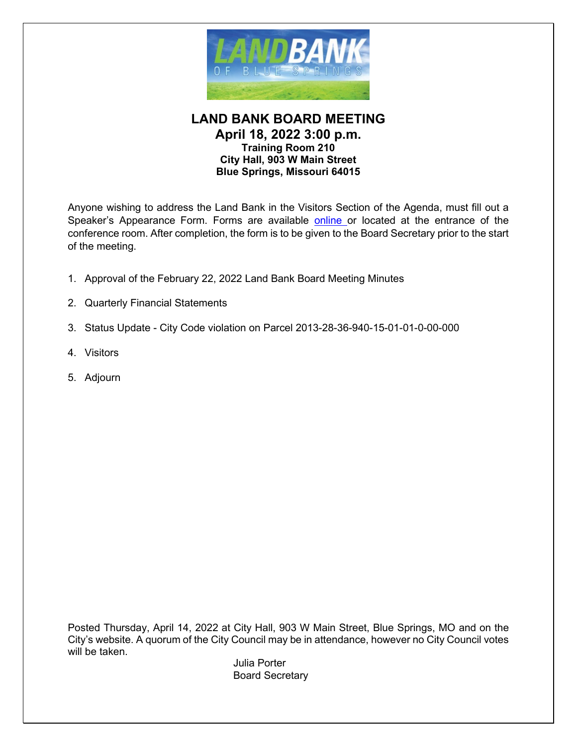

#### **LAND BANK BOARD MEETING April 18, 2022 3:00 p.m. Training Room 210 City Hall, 903 W Main Street Blue Springs, Missouri 64015**

Anyone wishing to address the Land Bank in the Visitors Section of the Agenda, must fill out a Speaker's Appearance Form. Forms are available [online o](http://www.bluespringsgov.com/FormCenter/Governance-2/Speaker-Appearance-Form-49)r located at the entrance of the conference room. After completion, the form is to be given to the Board Secretary prior to the start of the meeting.

- 1. Approval of the February 22, 2022 Land Bank Board Meeting Minutes
- 2. Quarterly Financial Statements
- 3. Status Update City Code violation on Parcel 2013-28-36-940-15-01-01-0-00-000
- 4. Visitors
- 5. Adjourn

Posted Thursday, April 14, 2022 at City Hall, 903 W Main Street, Blue Springs, MO and on the City's website. A quorum of the City Council may be in attendance, however no City Council votes will be taken.

Julia Porter Board Secretary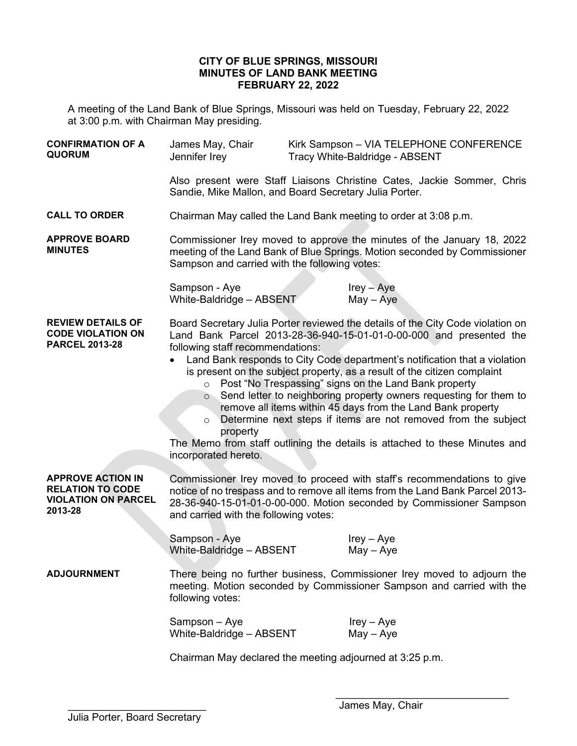#### **CITY OF BLUE SPRINGS, MISSOURI MINUTES OF LAND BANK MEETING FEBRUARY 22, 2022**

A meeting of the Land Bank of Blue Springs, Missouri was held on Tuesday, February 22, 2022 at 3:00 p.m. with Chairman May presiding.

| <b>CONFIRMATION OF A</b><br><b>QUORUM</b>                                                    | James May, Chair<br>Jennifer Irey                                                                                                                                                                                                                                                                                                                                                                                                                                                                                                                                                                                                                                                                                                                    |  | Kirk Sampson - VIA TELEPHONE CONFERENCE<br>Tracy White-Baldridge - ABSENT |  |  |
|----------------------------------------------------------------------------------------------|------------------------------------------------------------------------------------------------------------------------------------------------------------------------------------------------------------------------------------------------------------------------------------------------------------------------------------------------------------------------------------------------------------------------------------------------------------------------------------------------------------------------------------------------------------------------------------------------------------------------------------------------------------------------------------------------------------------------------------------------------|--|---------------------------------------------------------------------------|--|--|
|                                                                                              | Also present were Staff Liaisons Christine Cates, Jackie Sommer, Chris<br>Sandie, Mike Mallon, and Board Secretary Julia Porter.                                                                                                                                                                                                                                                                                                                                                                                                                                                                                                                                                                                                                     |  |                                                                           |  |  |
| <b>CALL TO ORDER</b>                                                                         | Chairman May called the Land Bank meeting to order at 3:08 p.m.                                                                                                                                                                                                                                                                                                                                                                                                                                                                                                                                                                                                                                                                                      |  |                                                                           |  |  |
| <b>APPROVE BOARD</b><br><b>MINUTES</b>                                                       | Commissioner Irey moved to approve the minutes of the January 18, 2022<br>meeting of the Land Bank of Blue Springs. Motion seconded by Commissioner<br>Sampson and carried with the following votes:                                                                                                                                                                                                                                                                                                                                                                                                                                                                                                                                                 |  |                                                                           |  |  |
|                                                                                              | Sampson - Aye<br>White-Baldridge - ABSENT                                                                                                                                                                                                                                                                                                                                                                                                                                                                                                                                                                                                                                                                                                            |  | $lrey - Aye$<br>$May - Aye$                                               |  |  |
| <b>REVIEW DETAILS OF</b><br><b>CODE VIOLATION ON</b><br><b>PARCEL 2013-28</b>                | Board Secretary Julia Porter reviewed the details of the City Code violation on<br>Land Bank Parcel 2013-28-36-940-15-01-01-0-00-000 and presented the<br>following staff recommendations:<br>Land Bank responds to City Code department's notification that a violation<br>is present on the subject property, as a result of the citizen complaint<br>o Post "No Trespassing" signs on the Land Bank property<br>○ Send letter to neighboring property owners requesting for them to<br>remove all items within 45 days from the Land Bank property<br>Determine next steps if items are not removed from the subject<br>$\circ$<br>property<br>The Memo from staff outlining the details is attached to these Minutes and<br>incorporated hereto. |  |                                                                           |  |  |
| <b>APPROVE ACTION IN</b><br><b>RELATION TO CODE</b><br><b>VIOLATION ON PARCEL</b><br>2013-28 | Commissioner Irey moved to proceed with staff's recommendations to give<br>notice of no trespass and to remove all items from the Land Bank Parcel 2013-<br>28-36-940-15-01-01-0-00-000. Motion seconded by Commissioner Sampson<br>and carried with the following votes:                                                                                                                                                                                                                                                                                                                                                                                                                                                                            |  |                                                                           |  |  |
|                                                                                              | Sampson - Aye<br>White-Baldridge - ABSENT                                                                                                                                                                                                                                                                                                                                                                                                                                                                                                                                                                                                                                                                                                            |  | $Irey - Aye$<br>$May - Aye$                                               |  |  |
| <b>ADJOURNMENT</b>                                                                           | There being no further business, Commissioner Irey moved to adjourn the<br>meeting. Motion seconded by Commissioner Sampson and carried with the<br>following votes:                                                                                                                                                                                                                                                                                                                                                                                                                                                                                                                                                                                 |  |                                                                           |  |  |
|                                                                                              | Sampson - Aye<br>White-Baldridge - ABSENT                                                                                                                                                                                                                                                                                                                                                                                                                                                                                                                                                                                                                                                                                                            |  | $lrey - Aye$<br>$May - Aye$                                               |  |  |
|                                                                                              | Chairman May declared the meeting adjourned at 3:25 p.m.                                                                                                                                                                                                                                                                                                                                                                                                                                                                                                                                                                                                                                                                                             |  |                                                                           |  |  |

 $\overline{\phantom{a}}$  , which is a set of the set of the set of the set of the set of the set of the set of the set of the set of the set of the set of the set of the set of the set of the set of the set of the set of the set of th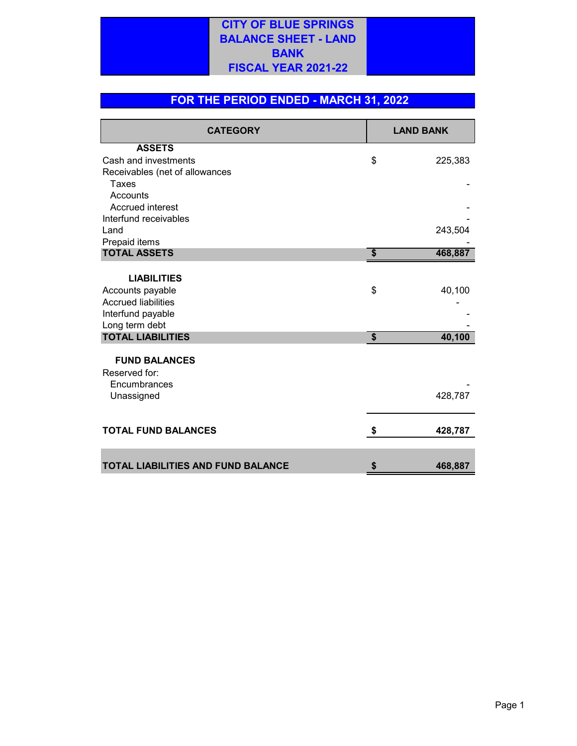## **CITY OF BLUE SPRINGS BALANCE SHEET - LAND BANK FISCAL YEAR 2021-22**

### **FOR THE PERIOD ENDED - MARCH 31, 2022**

| <b>CATEGORY</b>                           | <b>LAND BANK</b>          |         |  |
|-------------------------------------------|---------------------------|---------|--|
| <b>ASSETS</b>                             |                           |         |  |
| Cash and investments                      | \$                        | 225,383 |  |
| Receivables (net of allowances            |                           |         |  |
| Taxes                                     |                           |         |  |
| Accounts                                  |                           |         |  |
| <b>Accrued interest</b>                   |                           |         |  |
| Interfund receivables                     |                           |         |  |
| Land                                      |                           | 243,504 |  |
| Prepaid items                             |                           |         |  |
| <b>TOTAL ASSETS</b>                       | $\boldsymbol{\mathsf{s}}$ | 468,887 |  |
| <b>LIABILITIES</b>                        |                           |         |  |
| Accounts payable                          | \$                        | 40,100  |  |
| <b>Accrued liabilities</b>                |                           |         |  |
| Interfund payable                         |                           |         |  |
| Long term debt                            |                           |         |  |
| <b>TOTAL LIABILITIES</b>                  | \$                        | 40,100  |  |
| <b>FUND BALANCES</b>                      |                           |         |  |
| Reserved for:                             |                           |         |  |
| Encumbrances                              |                           |         |  |
| Unassigned                                |                           | 428,787 |  |
|                                           |                           |         |  |
| <b>TOTAL FUND BALANCES</b>                | \$                        | 428,787 |  |
|                                           |                           |         |  |
| <b>TOTAL LIABILITIES AND FUND BALANCE</b> |                           | 468,887 |  |